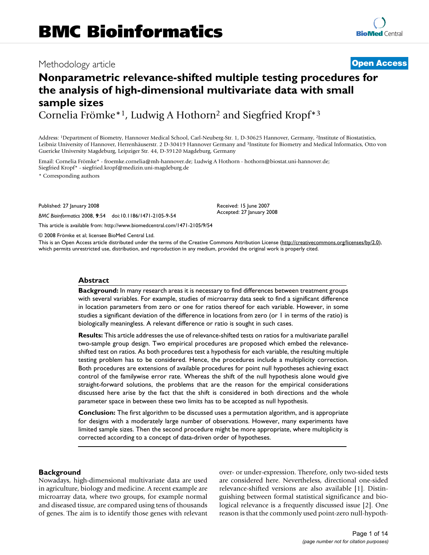## Methodology article **[Open Access](http://www.biomedcentral.com/info/about/charter/)**

# **Nonparametric relevance-shifted multiple testing procedures for the analysis of high-dimensional multivariate data with small sample sizes**

Cornelia Frömke\*1, Ludwig A Hothorn2 and Siegfried Kropf\*3

Address: 1Department of Biometry, Hannover Medical School, Carl-Neuberg-Str. 1, D-30625 Hannover, Germany, 2Institute of Biostatistics, Leibniz University of Hannover, Herrenhäuserstr. 2 D-30419 Hannover Germany and 3Institute for Biometry and Medical Informatics, Otto von Guericke University Magdeburg, Leipziger Str. 44, D-39120 Magdeburg, Germany

Email: Cornelia Frömke\* - froemke.cornelia@mh-hannover.de; Ludwig A Hothorn - hothorn@biostat.uni-hannover.de; Siegfried Kropf\* - siegfried.kropf@medizin.uni-magdeburg.de

\* Corresponding authors

Published: 27 January 2008

*BMC Bioinformatics* 2008, **9**:54 doi:10.1186/1471-2105-9-54

[This article is available from: http://www.biomedcentral.com/1471-2105/9/54](http://www.biomedcentral.com/1471-2105/9/54)

© 2008 Frömke et al; licensee BioMed Central Ltd.

This is an Open Access article distributed under the terms of the Creative Commons Attribution License [\(http://creativecommons.org/licenses/by/2.0\)](http://creativecommons.org/licenses/by/2.0), which permits unrestricted use, distribution, and reproduction in any medium, provided the original work is properly cited.

Received: 15 June 2007 Accepted: 27 January 2008

#### **Abstract**

**Background:** In many research areas it is necessary to find differences between treatment groups with several variables. For example, studies of microarray data seek to find a significant difference in location parameters from zero or one for ratios thereof for each variable. However, in some studies a significant deviation of the difference in locations from zero (or 1 in terms of the ratio) is biologically meaningless. A relevant difference or ratio is sought in such cases.

**Results:** This article addresses the use of relevance-shifted tests on ratios for a multivariate parallel two-sample group design. Two empirical procedures are proposed which embed the relevanceshifted test on ratios. As both procedures test a hypothesis for each variable, the resulting multiple testing problem has to be considered. Hence, the procedures include a multiplicity correction. Both procedures are extensions of available procedures for point null hypotheses achieving exact control of the familywise error rate. Whereas the shift of the null hypothesis alone would give straight-forward solutions, the problems that are the reason for the empirical considerations discussed here arise by the fact that the shift is considered in both directions and the whole parameter space in between these two limits has to be accepted as null hypothesis.

**Conclusion:** The first algorithm to be discussed uses a permutation algorithm, and is appropriate for designs with a moderately large number of observations. However, many experiments have limited sample sizes. Then the second procedure might be more appropriate, where multiplicity is corrected according to a concept of data-driven order of hypotheses.

#### **Background**

Nowadays, high-dimensional multivariate data are used in agriculture, biology and medicine. A recent example are microarray data, where two groups, for example normal and diseased tissue, are compared using tens of thousands of genes. The aim is to identify those genes with relevant over- or under-expression. Therefore, only two-sided tests are considered here. Nevertheless, directional one-sided relevance-shifted versions are also available [1]. Distinguishing between formal statistical significance and biological relevance is a frequently discussed issue [2]. One reason is that the commonly used point-zero null-hypoth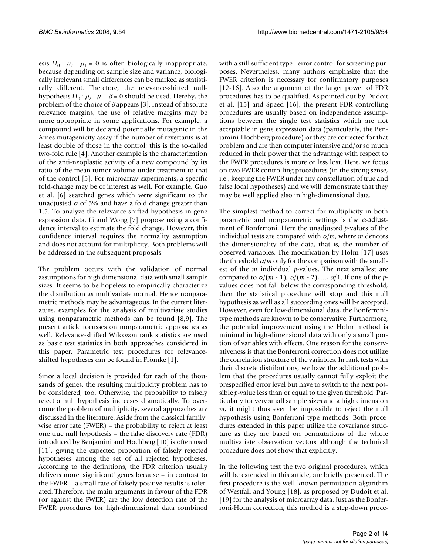esis  $H_0$ :  $\mu_2$  -  $\mu_1$  = 0 is often biologically inappropriate, because depending on sample size and variance, biologically irrelevant small differences can be marked as statistically different. Therefore, the relevance-shifted nullhypothesis  $H_0$ :  $\mu_2$  -  $\mu_1$  -  $\delta$  = 0 should be used. Hereby, the problem of the choice of  $\delta$  appears [3]. Instead of absolute relevance margins, the use of relative margins may be more appropriate in some applications. For example, a compound will be declared potentially mutagenic in the Ames mutagenicity assay if the number of revertants is at least double of those in the control; this is the so-called two-fold rule [4]. Another example is the characterization of the anti-neoplastic activity of a new compound by its ratio of the mean tumor volume under treatment to that of the control [5]. For microarray experiments, a specific fold-change may be of interest as well. For example, Guo et al. [6] searched genes which were significant to the unadjusted  $\alpha$  of 5% and have a fold change greater than 1.5. To analyze the relevance-shifted hypothesis in gene expression data, Li and Wong [7] propose using a confidence interval to estimate the fold change. However, this confidence interval requires the normality assumption and does not account for multiplicity. Both problems will be addressed in the subsequent proposals.

The problem occurs with the validation of normal assumptions for high dimensional data with small sample sizes. It seems to be hopeless to empirically characterize the distribution as multivariate normal. Hence nonparametric methods may be advantageous. In the current literature, examples for the analysis of multivariate studies using nonparametric methods can be found [8,9]. The present article focusses on nonparametric approaches as well. Relevance-shifted Wilcoxon rank statistics are used as basic test statistics in both approaches considered in this paper. Parametric test procedures for relevanceshifted hypotheses can be found in Frömke [1].

Since a local decision is provided for each of the thousands of genes, the resulting multiplicity problem has to be considered, too. Otherwise, the probability to falsely reject a null hypothesis increases dramatically. To overcome the problem of multiplicity, several approaches are discussed in the literature. Aside from the classical familywise error rate (FWER) – the probability to reject at least one true null hypothesis – the false discovery rate (FDR) introduced by Benjamini and Hochberg [10] is often used [11], giving the expected proportion of falsely rejected hypotheses among the set of all rejected hypotheses. According to the definitions, the FDR criterion usually delivers more 'significant' genes because – in contrast to the FWER – a small rate of falsely positive results is tolerated. Therefore, the main arguments in favour of the FDR (or against the FWER) are the low detection rate of the FWER procedures for high-dimensional data combined

with a still sufficient type I error control for screening purposes. Nevertheless, many authors emphasize that the FWER criterion is necessary for confirmatory purposes [12-16]. Also the argument of the larger power of FDR procedures has to be qualified. As pointed out by Dudoit et al. [15] and Speed [16], the present FDR controlling procedures are usually based on independence assumptions between the single test statistics which are not acceptable in gene expression data (particularly, the Benjamini-Hochberg procedure) or they are corrected for that problem and are then computer intensive and/or so much reduced in their power that the advantage with respect to the FWER procedures is more or less lost. Here, we focus on two FWER controlling procedures (in the strong sense, i.e., keeping the FWER under any constellation of true and false local hypotheses) and we will demonstrate that they may be well applied also in high-dimensional data.

The simplest method to correct for multiplicity in both parametric and nonparametric settings is the  $\alpha$ -adjustment of Bonferroni. Here the unadjusted *p*-values of the individual tests are compared with α/*m*, where *m* denotes the dimensionality of the data, that is, the number of observed variables. The modification by Holm [17] uses the threshold  $\alpha/m$  only for the comparison with the smallest of the *m* individual *p*-values. The next smallest are compared to  $\alpha/(m-1)$ ,  $\alpha/(m-2)$ , ...,  $\alpha/1$ . If one of the *p*values does not fall below the corresponding threshold, then the statistical procedure will stop and this null hypothesis as well as all succeeding ones will be accepted. However, even for low-dimensional data, the Bonferronitype methods are known to be conservative. Furthermore, the potential improvement using the Holm method is minimal in high-dimensional data with only a small portion of variables with effects. One reason for the conservativeness is that the Bonferroni correction does not utilize the correlation structure of the variables. In rank tests with their discrete distributions, we have the additional problem that the procedures usually cannot fully exploit the prespecified error level but have to switch to the next possible *p*-value less than or equal to the given threshold. Particularly for very small sample sizes and a high dimension *m*, it might thus even be impossible to reject the null hypothesis using Bonferroni type methods. Both procedures extended in this paper utilize the covariance structure as they are based on permutations of the whole multivariate observation vectors although the technical procedure does not show that explicitly.

In the following text the two original procedures, which will be extended in this article, are briefly presented. The first procedure is the well-known permutation algorithm of Westfall and Young [18], as proposed by Dudoit et al. [19] for the analysis of microarray data. Just as the Bonferroni-Holm correction, this method is a step-down proce-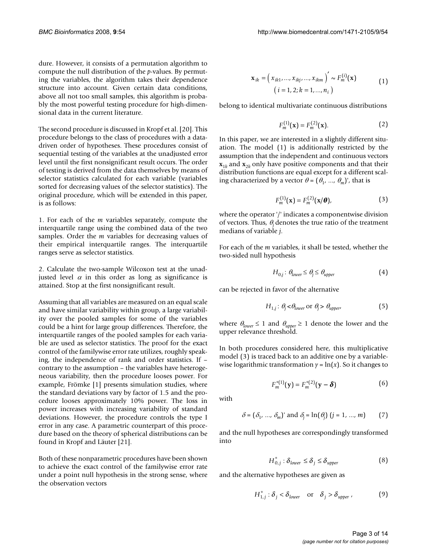dure. However, it consists of a permutation algorithm to compute the null distribution of the *p*-values. By permuting the variables, the algorithm takes their dependence structure into account. Given certain data conditions, above all not too small samples, this algorithm is probably the most powerful testing procedure for high-dimensional data in the current literature.

The second procedure is discussed in Kropf et al. [20]. This procedure belongs to the class of procedures with a datadriven order of hypotheses. These procedures consist of sequential testing of the variables at the unadjusted error level until the first nonsignificant result occurs. The order of testing is derived from the data themselves by means of selector statistics calculated for each variable (variables sorted for decreasing values of the selector statistics). The original procedure, which will be extended in this paper, is as follows:

1. For each of the *m* variables separately, compute the interquartile range using the combined data of the two samples. Order the *m* variables for decreasing values of their empirical interquartile ranges. The interquartile ranges serve as selector statistics.

2. Calculate the two-sample Wilcoxon test at the unadjusted level  $\alpha$  in this order as long as significance is attained. Stop at the first nonsignificant result.

Assuming that all variables are measured on an equal scale and have similar variability within group, a large variability over the pooled samples for some of the variables could be a hint for large group differences. Therefore, the interquartile ranges of the pooled samples for each variable are used as selector statistics. The proof for the exact control of the familywise error rate utilizes, roughly speaking, the independence of rank and order statistics. If – contrary to the assumption – the variables have heterogeneous variability, then the procedure looses power. For example, Frömke [1] presents simulation studies, where the standard deviations vary by factor of 1.5 and the procedure looses approximately 10% power. The loss in power increases with increasing variability of standard deviations. However, the procedure controls the type I error in any case. A parametric counterpart of this procedure based on the theory of spherical distributions can be found in Kropf and Läuter [21].

Both of these nonparametric procedures have been shown to achieve the exact control of the familywise error rate under a point null hypothesis in the strong sense, where the observation vectors

$$
\mathbf{x}_{ik} = \left(x_{ik1}, ..., x_{ikj}, ..., x_{ikm}\right)' \sim F_m^{(i)}(\mathbf{x})
$$
\n
$$
(i = 1, 2; k = 1, ..., n_i)
$$
\n(1)

belong to identical multivariate continuous distributions

$$
F_m^{(1)}(\mathbf{x}) = F_m^{(2)}(\mathbf{x}).
$$
 (2)

In this paper, we are interested in a slightly different situation. The model (1) is additionally restricted by the assumption that the independent and continuous vectors  $\mathbf{x}_{1k}$  and  $\mathbf{x}_{2k}$  only have positive components and that their distribution functions are equal except for a different scaling characterized by a vector  $\theta = (\theta_1, ..., \theta_m)'$ , that is

$$
F_m^{(1)}(\mathbf{x}) = F_m^{(2)}(\mathbf{x}/\boldsymbol{\theta}),
$$
 (3)

where the operator '/' indicates a componentwise division of vectors. Thus, θ*j* denotes the true ratio of the treatment medians of variable *j*.

For each of the *m* variables, it shall be tested, whether the two-sided null hypothesis

$$
H_{0,j}: \theta_{lower} \le \theta_j \le \theta_{upper} \tag{4}
$$

can be rejected in favor of the alternative

$$
H_{1,j}: \theta_j < \theta_{lower} \text{ or } \theta_j > \theta_{upper'} \tag{5}
$$

where  $\theta_{lower} \leq 1$  and  $\theta_{upper} \geq 1$  denote the lower and the upper relevance threshold.

In both procedures considered here, this multiplicative model (3) is traced back to an additive one by a variablewise logarithmic transformation  $y = \ln(x)$ . So it changes to

$$
F_m^{*(1)}(\mathbf{y}) = F_m^{*(2)}(\mathbf{y} - \boldsymbol{\delta})
$$
 (6)

with

$$
\delta = (\delta_1, ..., \delta_m)
$$
 and  $\delta_j = \ln(\theta_j)$   $(j = 1, ..., m)$  (7)

and the null hypotheses are correspondingly transformed into

$$
H_{0,j}^* : \delta_{lower} \le \delta_j \le \delta_{upper} \tag{8}
$$

and the alternative hypotheses are given as

$$
H_{1,j}^* : \delta_j < \delta_{lower} \quad \text{or} \quad \delta_j > \delta_{upper} \tag{9}
$$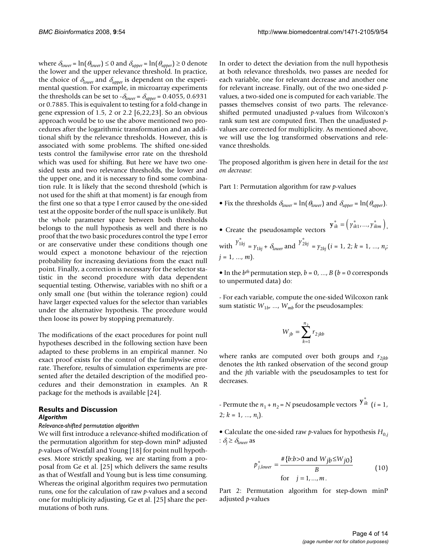where  $\delta_{lower} = \ln(\theta_{lower}) \le 0$  and  $\delta_{upper} = \ln(\theta_{upper}) \ge 0$  denote the lower and the upper relevance threshold. In practice, the choice of δ*lower* and δ*upper* is dependent on the experimental question. For example, in microarray experiments the thresholds can be set to  $-\delta_{lower} = \delta_{upper} = 0.4055$ , 0.6931 or 0.7885. This is equivalent to testing for a fold-change in gene expression of 1.5, 2 or 2.2 [6,22,23]. So an obvious approach would be to use the above mentioned two procedures after the logarithmic transformation and an additional shift by the relevance thresholds. However, this is associated with some problems. The shifted one-sided tests control the familywise error rate on the threshold which was used for shifting. But here we have two onesided tests and two relevance thresholds, the lower and the upper one, and it is necessary to find some combination rule. It is likely that the second threshold (which is not used for the shift at that moment) is far enough from the first one so that a type I error caused by the one-sided test at the opposite border of the null space is unlikely. But the whole parameter space between both thresholds belongs to the null hypothesis as well and there is no proof that the two basic procedures control the type I error or are conservative under these conditions though one would expect a monotone behaviour of the rejection probability for increasing deviations from the exact null point. Finally, a correction is necessary for the selector statistic in the second procedure with data dependent sequential testing. Otherwise, variables with no shift or a only small one (but within the tolerance region) could have larger expected values for the selector than variables under the alternative hypothesis. The procedure would then loose its power by stopping prematurely.

The modifications of the exact procedures for point null hypotheses described in the following section have been adapted to these problems in an empirical manner. No exact proof exists for the control of the familywise error rate. Therefore, results of simulation experiments are presented after the detailed description of the modified procedures and their demonstration in examples. An R package for the methods is available [24].

#### **Results and Discussion** *Algorithm*

#### *Relevance-shifted permutation algorithm*

We will first introduce a relevance-shifted modification of the permutation algorithm for step-down minP adjusted *p*-values of Westfall and Young [18] for point null hypotheses. More strictly speaking, we are starting from a proposal from Ge et al. [25] which delivers the same results as that of Westfall and Young but is less time consuming. Whereas the original algorithm requires two permutation runs, one for the calculation of raw *p*-values and a second one for multiplicity adjusting, Ge et al. [25] share the permutations of both runs.

In order to detect the deviation from the null hypothesis at both relevance thresholds, two passes are needed for each variable, one for relevant decrease and another one for relevant increase. Finally, out of the two one-sided *p*values, a two-sided one is computed for each variable. The passes themselves consist of two parts. The relevanceshifted permuted unadjusted *p*-values from Wilcoxon's rank sum test are computed first. Then the unadjusted *p*values are corrected for multiplicity. As mentioned above, we will use the log transformed observations and relevance thresholds.

The proposed algorithm is given here in detail for the *test on decrease*:

Part 1: Permutation algorithm for raw *p*-values

- Fix the thresholds  $\delta_{lower} = \ln(\theta_{lower})$  and  $\delta_{upper} = \ln(\theta_{upper})$ .
- Create the pseudosample vectors  $\mathbf{y}_{ik}^* = \left( y_{ik1}^*, \ldots, y_{ikm}^* \right)$ with  $\gamma_{1kj}^{*} = \gamma_{1kj} + \delta_{lower}$  and  $\gamma_{2kj}^{*} = \gamma_{2kj}$  (*i* = 1, 2; *k* = 1, ...,  $n_{ij}$ )  $j = 1, ..., m$ .

• In the  $b^{th}$  permutation step,  $b = 0, ..., B$  ( $b = 0$  corresponds to unpermuted data) do:

- For each variable, compute the one-sided Wilcoxon rank sum statistic  $W_{1b}$ , ...,  $W_{mb}$  for the pseudosamples:

$$
W_{jb} = \sum_{k=1}^{n_2} r_{2jkb}
$$

where ranks are computed over both groups and  $r_{2ikh}$ denotes the *k*th ranked observation of the second group and the *j*th variable with the pseudosamples to test for decreases.

- Permute the  $n_1 + n_2 = N$  pseudosample vectors  $y^{*}_{ik}$  (*i* = 1,  $2; k = 1, ..., n<sub>i</sub>$ ).

• Calculate the one-sided raw *p*-values for hypothesis  $H_{0,j}$ :  $\delta_i \geq \delta_{lower}$  as

$$
p_{j, lower}^{*} = \frac{\# \{b:b > 0 \text{ and } W_{jb} \le W_{j0}\}}{B} \tag{10}
$$
\n
$$
\text{for } j = 1, ..., m.
$$

Part 2: Permutation algorithm for step-down minP adjusted *p*-values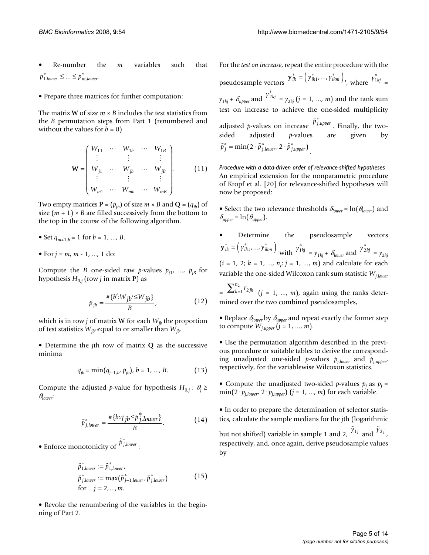• Re-number the *m* variables such that  $p_{1 \text{ lower}}^* \leq ... \leq p_{m \text{ lower}}^*$ 

• Prepare three matrices for further computation:

The matrix **W** of size  $m \times B$  includes the test statistics from the *B* permutation steps from Part 1 (renumbered and without the values for  $b = 0$ )

$$
\mathbf{W} = \begin{pmatrix} W_{11} & \cdots & W_{1b} & \cdots & W_{1B} \\ \vdots & & \vdots & & \vdots \\ W_{j1} & \cdots & W_{jb} & \cdots & W_{jb} \\ \vdots & & \vdots & & \vdots \\ W_{m1} & \cdots & W_{mb} & \cdots & W_{mb} \end{pmatrix} .
$$
 (11)

Two empty matrices  $P = (p_{ib})$  of size  $m \times B$  and  $Q = (q_{ib})$  of size  $(m + 1) \times B$  are filled successively from the bottom to the top in the course of the following algorithm.

- Set  $q_{m+1,b} = 1$  for  $b = 1, ..., B$ .
- For  $j = m, m 1, ..., 1$  do:

Compute the *B* one-sided raw *p*-values  $p_{j1}$ , ...,  $p_{jB}$  for hypothesis  $H_{0,j}$  (row *j* in matrix **P**) as

$$
p_{jb} = \frac{\#\{b' : W_{jb'} \le W_{jb}\}}{B},
$$
 (12)

which is in row *j* of matrix **W** for each  $W_{ib}$  the proportion of test statistics  $W_{ib}$  equal to or smaller than  $W_{ib}$ .

• Determine the *j*th row of matrix **Q** as the successive minima

$$
q_{jb} = \min(q_{j+1,b}, p_{jb}), b = 1, ..., B.
$$
 (13)

Compute the adjusted *p*-value for hypothesis  $H_{0,i}$ :  $\theta_i \geq$ <sup>θ</sup>*lower*:

$$
\tilde{p}_{j,lower}^* = \frac{\#\{b:q\;jb \leq p_{j,lower}^*\}}{B}.
$$
\n(14)

• Enforce monotonicity of  $\tilde{p}_{j, lower}^*$ :

$$
\tilde{p}_{1,lower}^* := \tilde{p}_{1,lower}^*,
$$
\n
$$
\tilde{p}_{j,lower}^* := \max(\tilde{p}_{j-1,lower}^*, \tilde{p}_{j,lower}^*)
$$
\n
$$
\text{for } j = 2, ..., m.
$$
\n(15)

• Revoke the renumbering of the variables in the beginning of Part 2.

For the *test on increase*, repeat the entire procedure with the pseudosample vectors  $\mathbf{y}_{ik}^* = \left(y_{ik1}^*, \dots, y_{ikm}^*\right)$ , where  $y_{1kj}^* = \left(y_{ik1}^*, \dots, y_{ikm}^*\right)$  $\gamma_{1kj}$  +  $\delta_{upper}$  and  $\gamma^{*}_{2kj}$  =  $\gamma_{2kj}$  (*j* = 1, ..., *m*) and the rank sum test on increase to achieve the one-sided multiplicity adjusted *p*-values on increase  $\tilde{p}_{j,upper}^*$  Finally, the twosided adjusted *p*-values are given by  $\tilde{p}_j^* = \min(2 \cdot \tilde{p}_{j,lower}^*, 2 \cdot \tilde{p}_{j,upper}^*)$ <sub>.</sub>

*Procedure with a data-driven order of relevance-shifted hypotheses* An empirical extension for the nonparametric procedure of Kropf et al. [20] for relevance-shifted hypotheses will now be proposed:

• Select the two relevance thresholds  $\delta_{lower} = \ln(\theta_{lower})$  and  $\delta_{\text{upper}} = \ln(\theta_{\text{upper}}).$ 

Determine the pseudosample vectors  $\mathbf{y}_{ik}^* = \left( \gamma_{ik1}^*, ..., \gamma_{ikm}^* \right)$  with  $\gamma_{1kj}^* = \gamma_{1kj} + \delta_{lower}$  and  $\gamma_{2kj}^* = \gamma_{2kj}$  $(i = 1, 2; k = 1, ..., n_i; j = 1, ..., m)$  and calculate for each variable the one-sided Wilcoxon rank sum statistic *Wj*,*lower*

 $=\sum_{k=1}^{n_2} {r_2}_{jk}$  (*j* = 1, ..., *m*), again using the ranks determined over the two combined pseudosamples,  $\sum_{k=1}^{n_2} r_2$ 

• Replace δ*lower* by δ*upper* and repeat exactly the former step to compute  $W_{j,upper} (j = 1, ..., m)$ .

• Use the permutation algorithm described in the previous procedure or suitable tables to derive the corresponding unadjusted one-sided *p*-values  $p_{i, lower}$  and  $p_{i,upper}$ respectively, for the variablewise Wilcoxon statistics.

• Compute the unadjusted two-sided *p*-values  $p_i$  as  $p_j =$  $\min(2 \cdot p_{j, lower}, 2 \cdot p_{j, upper})$  (*j* = 1, ..., *m*) for each variable.

• In order to prepare the determination of selector statistics, calculate the sample medians for the *j*th (logarithmic

but not shifted) variable in sample 1 and 2,  $\tilde{y}_{1j}$  and  $\tilde{y}_{2j}$ , respectively, and, once again, derive pseudosample values by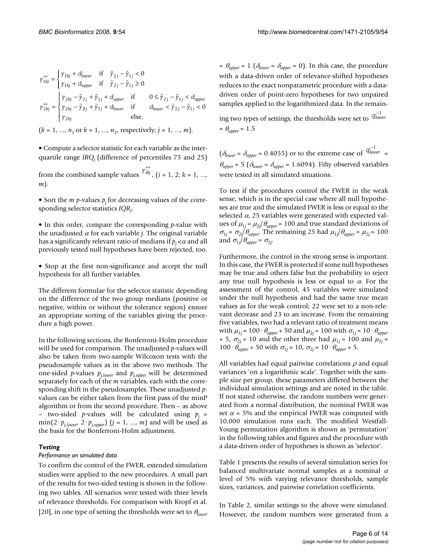$$
\gamma_{1kj}^{**} = \begin{cases}\n\gamma_{1kj} + d_{lower} & \text{if } \tilde{\gamma}_{2j} - \tilde{\gamma}_{1j} < 0 \\
\gamma_{1kj} + d_{upper} & \text{if } \tilde{\gamma}_{2j} - \tilde{\gamma}_{1j} \ge 0\n\end{cases}
$$
\n
$$
\gamma_{2kj}^{**} = \begin{cases}\n\gamma_{2kj} - \tilde{\gamma}_{2j} + \tilde{\gamma}_{1j} + d_{upper} & \text{if } 0 \le \tilde{\gamma}_{2j} - \tilde{\gamma}_{1j} < d_{upper} \\
\gamma_{2kj} - \tilde{\gamma}_{2j} + \tilde{\gamma}_{1j} + d_{lower} & \text{if } d_{lower} < \tilde{\gamma}_{2j} - \tilde{\gamma}_{1j} < 0 \\
\gamma_{2kj} & \text{else,}\n\end{cases}
$$

$$
(k = 1, ..., n_1 \text{ or } k = 1, ..., n_2, \text{ respectively}; j = 1, ..., m).
$$

• Compute a selector statistic for each variable as the interquartile range *IRQ<sub>i</sub>* (difference of percentiles 75 and 25)

from the combined sample values  $y^{**}_{ikj}$ ,  $(i = 1, 2; k = 1, ..., k)$ *m*).

• Sort the *m p*-values  $p_i$  for decreasing values of the corresponding selector statistics *IQRj* .

• In this order, compare the corresponding *p*-value with the unadjusted <sup>α</sup> for each variable *j*. The original variable has a significantly relevant ratio of medians if  $p_i < \alpha$  and all previously tested null hypotheses have been rejected, too.

• Stop at the first non-significance and accept the null hypothesis for all further variables.

The different formulae for the selector statistic depending on the difference of the two group medians (positive or negative, within or without the tolerance region) ensure an appropriate sorting of the variables giving the procedure a high power.

In the following sections, the Bonferroni-Holm procedure will be used for comparison. The unadjusted *p*-values will also be taken from two-sample Wilcoxon tests with the pseudosample values as in the above two methods. The one-sided *p*-values  $p_{j,lower}$  and  $p_{j,upper}$  will be determined separately for each of the *m* variables, each with the corresponding shift in the pseudosamples. These unadjusted *p*values can be either taken from the first pass of the minP algorithm or from the second procedure. Then – as above – two-sided *p*-values will be calculated using  $p_i$  =  $\min(2 \cdot p_{j, lower} \cdot 2 \cdot p_{j, upper})$   $(j = 1, ..., m)$  and will be used as the basis for the Bonferroni-Holm adjustment.

#### *Testing*

#### *Performance on simulated data*

To confirm the control of the FWER, extended simulation studies were applied to the new procedures. A small part of the results for two-sided testing is shown in the following two tables. All scenarios were tested with three levels of relevance thresholds. For comparison with Kropf et al. [20], in one type of setting the thresholds were set to θ*lower*

 $= \theta_{\text{upper}} = 1$  ( $\delta_{\text{lower}} = \delta_{\text{upper}} = 0$ ). In this case, the procedure with a data-driven order of relevance-shifted hypotheses reduces to the exact nonparametric procedure with a datadriven order of point-zero hypotheses for two unpaired samples applied to the logarithmized data. In the remain-

 $\log$  two types of settings, the thresholds were set to  $\,q_{lower}^{-1}\,$  $=\theta_{\text{unther}} = 1.5$ 

 $(\delta_{lower} = \delta_{upper} = 0.4055)$  or to the extreme case of  $q_{lower}^{-1}$  $\theta_{\text{upper}} = 5$  ( $\delta_{\text{lower}} = \delta_{\text{upper}} = 1.6094$ ). Fifty observed variables were tested in all simulated situations.

To test if the procedures control the FWER in the weak sense, which is in the special case where all null hypotheses are true and the simulated FWER is less or equal to the selected  $\alpha$ , 25 variables were generated with expected values of  $\mu_{1j}$  =  $\mu_{2j}/\theta_{upper}$  = 100 and true standard deviations of  $\sigma_{1j} = \sigma_{2j}/\theta_{upper}$ . The remaining 25 had  $\mu_{1j}/\theta_{upper} = \mu_{2j} = 100$ and  $\sigma_{1j}/\theta_{upper} = \sigma_{2j}$ .

Furthermore, the control in the strong sense is important. In this case, the FWER is protected if some null hypotheses may be true and others false but the probability to reject any true null hypothesis is less or equal to  $\alpha$ . For the assessment of the control, 45 variables were simulated under the null hypothesis and had the same true mean values as for the weak control; 22 were set to a non-relevant decrease and 23 to an increase. From the remaining five variables, two had a relevant ratio of treatment means with  $\mu_{1j} = 100 \cdot \theta_{upper} + 50$  and  $\mu_{2j} = 100$  with  $\sigma_{1j} = 10 \cdot \theta_{upper}$ + 5,  $\sigma_{2i}$  = 10 and the other three had  $\mu_{1i}$  = 100 and  $\mu_{2i}$  = 100 $\cdot \theta_{\text{upper}} + 50$  with  $\sigma_{1j} = 10$ ,  $\sigma_{2j} = 10 \cdot \theta_{\text{upper}} + 5$ .

All variables had equal pairwise correlations  $\rho$  and equal variances 'on a logarithmic scale'. Together with the sample size per group, these parameters differed between the individual simulation settings and are noted in the table. If not stated otherwise, the random numbers were generated from a normal distribution, the nominal FWER was set  $\alpha$  = 5% and the empirical FWER was computed with 10,000 simulation runs each. The modified Westfall-Young permutation algorithm is shown as 'permutation' in the following tables and figures and the procedure with a data-driven order of hypotheses is shown as 'selector'.

Table 1 presents the results of several simulation series for balanced multivariate normal samples at a nominal  $\alpha$ level of 5% with varying relevance thresholds, sample sizes, variances, and pairwise correlation coefficients.

In Table 2, similar settings to the above were simulated. However, the random numbers were generated from a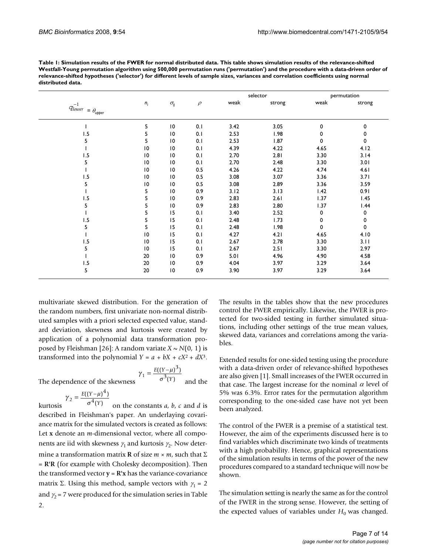| $-1$<br>$q_{lower}^{-1} = \theta_{upper}$ | $n_i$           | $\sigma_{ij}$   | $\rho$ | selector |        | permutation |             |
|-------------------------------------------|-----------------|-----------------|--------|----------|--------|-------------|-------------|
|                                           |                 |                 |        | weak     | strong | weak        | strong      |
|                                           | 5               | $\overline{10}$ | 0.1    | 3.42     | 3.05   | 0           | 0           |
| 1.5                                       | 5               | $\overline{10}$ | 0.1    | 2.53     | 1.98   | 0           | 0           |
| 5                                         | 5               | 10              | 0.1    | 2.53     | 1.87   | 0           | $\mathbf 0$ |
|                                           | $\overline{10}$ | $\overline{10}$ | 0.1    | 4.39     | 4.22   | 4.65        | 4.12        |
| 1.5                                       | $\overline{10}$ | $\overline{10}$ | 0.1    | 2.70     | 2.81   | 3.30        | 3.14        |
| 5                                         | $\overline{10}$ | $\overline{10}$ | 0.1    | 2.70     | 2.48   | 3.30        | 3.01        |
|                                           | $\overline{10}$ | $\overline{10}$ | 0.5    | 4.26     | 4.22   | 4.74        | 4.61        |
| 1.5                                       | $\overline{10}$ | $\overline{10}$ | 0.5    | 3.08     | 3.07   | 3.36        | 3.71        |
| 5                                         | $\overline{10}$ | $\overline{10}$ | 0.5    | 3.08     | 2.89   | 3.36        | 3.59        |
|                                           | 5               | 10              | 0.9    | 3.12     | 3.13   | 1.42        | 0.91        |
| 1.5                                       | 5               | $\overline{10}$ | 0.9    | 2.83     | 2.61   | 1.37        | 1.45        |
| 5                                         | 5               | $\overline{10}$ | 0.9    | 2.83     | 2.80   | 1.37        | I.44        |
|                                           | 5               | 15              | 0.1    | 3.40     | 2.52   | 0           | 0           |
| 1.5                                       | 5               | 15              | 0.1    | 2.48     | 1.73   | 0           | 0           |
| 5                                         | 5               | 15              | 0.1    | 2.48     | 1.98   | 0           | $\mathbf 0$ |
|                                           | $\overline{10}$ | 15              | 0.1    | 4.27     | 4.21   | 4.65        | 4.10        |
| 1.5                                       | $\overline{10}$ | 15              | 0.1    | 2.67     | 2.78   | 3.30        | 3.11        |
| 5                                         | 10              | 15              | 0.1    | 2.67     | 2.51   | 3.30        | 2.97        |
|                                           | 20              | $\overline{10}$ | 0.9    | 5.01     | 4.96   | 4.90        | 4.58        |
| 1.5                                       | 20              | $\overline{10}$ | 0.9    | 4.04     | 3.97   | 3.29        | 3.64        |
| 5                                         | 20              | $\overline{10}$ | 0.9    | 3.90     | 3.97   | 3.29        | 3.64        |

**Table 1: Simulation results of the FWER for normal distributed data. This table shows simulation results of the relevance-shifted Westfall-Young permutation algorithm using 500,000 permutation runs ('permutation') and the procedure with a data-driven order of relevance-shifted hypotheses ('selector') for different levels of sample sizes, variances and correlation coefficients using normal distributed data.**

multivariate skewed distribution. For the generation of the random numbers, first univariate non-normal distributed samples with a priori selected expected value, standard deviation, skewness and kurtosis were created by application of a polynomial data transformation proposed by Fleishman [26]: A random variate  $X \sim N(0, 1)$  is transformed into the polynomial  $Y = a + bX + cX^2 + dX^3$ .

$$
\gamma_1 = \frac{E((Y-\mu)^3)}{\sigma^3(Y)}
$$

The dependence of the skewness  $\sigma^{(Y)}$  and the

$$
\gamma_2 = \frac{E((Y-\mu)^4)}{\sigma^4(Y)}
$$

kurtosis  $\sigma^x(Y)$  on the constants *a*, *b*, *c* and *d* is described in Fleishman's paper. An underlaying covariance matrix for the simulated vectors is created as follows: Let **x** denote an *m*-dimensional vector, where all components are iid with skewness  $\gamma_1$  and kurtosis  $\gamma_2$ . Now determine a transformation matrix **R** of size  $m \times m$ , such that  $\Sigma$ = **R'R** (for example with Cholesky decomposition). Then the transformed vector  $y = R'x$  has the variance-covariance matrix Σ. Using this method, sample vectors with  $γ_1 = 2$ and  $\gamma_2$  = 7 were produced for the simulation series in Table 2.

The results in the tables show that the new procedures control the FWER empirically. Likewise, the FWER is protected for two-sided testing in further simulated situations, including other settings of the true mean values, skewed data, variances and correlations among the variables.

Extended results for one-sided testing using the procedure with a data-driven order of relevance-shifted hypotheses are also given [1]. Small increases of the FWER occurred in that case. The largest increase for the nominal  $\alpha$  level of 5% was 6.3%. Error rates for the permutation algorithm corresponding to the one-sided case have not yet been been analyzed.

The control of the FWER is a premise of a statistical test. However, the aim of the experiments discussed here is to find variables which discriminate two kinds of treatments with a high probability. Hence, graphical representations of the simulation results in terms of the power of the new procedures compared to a standard technique will now be shown.

The simulation setting is nearly the same as for the control of the FWER in the strong sense. However, the setting of the expected values of variables under  $H_0$  was changed.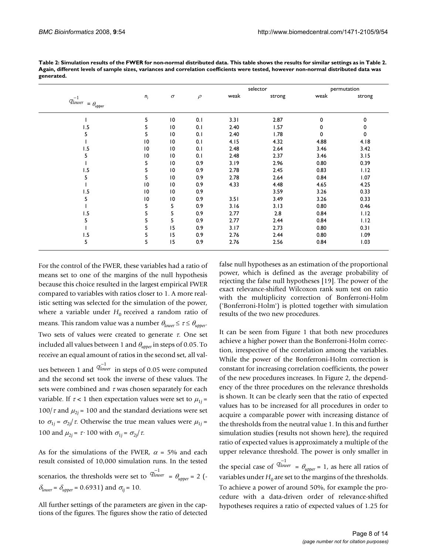| $-1$<br>$q_{lower}^{-1} = \theta_{upper}$ | $n_i$           | $\sigma$        | $\rho$ | selector |        | permutation |        |
|-------------------------------------------|-----------------|-----------------|--------|----------|--------|-------------|--------|
|                                           |                 |                 |        | weak     | strong | weak        | strong |
|                                           | 5               | 10              | 0.1    | 3.31     | 2.87   | 0           | 0      |
| 1.5                                       | 5               | $\overline{10}$ | 0.1    | 2.40     | 1.57   | 0           | 0      |
| 5                                         | 5               | 10              | 0.1    | 2.40     | 1.78   | 0           | 0      |
|                                           | 10              | 10              | 0.1    | 4.15     | 4.32   | 4.88        | 4.18   |
| 1.5                                       | $\overline{10}$ | $\overline{10}$ | 0.1    | 2.48     | 2.64   | 3.46        | 3.42   |
| 5                                         | 10              | 10              | 0.1    | 2.48     | 2.37   | 3.46        | 3.15   |
|                                           | 5               | 10              | 0.9    | 3.19     | 2.96   | 0.80        | 0.39   |
| 1.5                                       | 5               | 10              | 0.9    | 2.78     | 2.45   | 0.83        | 1.12   |
| 5                                         | 5               | 10              | 0.9    | 2.78     | 2.64   | 0.84        | 1.07   |
|                                           | 10              | $\overline{10}$ | 0.9    | 4.33     | 4.48   | 4.65        | 4.25   |
| 1.5                                       | $\overline{10}$ | 10              | 0.9    |          | 3.59   | 3.26        | 0.33   |
| 5                                         | 10              | 10              | 0.9    | 3.51     | 3.49   | 3.26        | 0.33   |
|                                           | 5               | 5               | 0.9    | 3.16     | 3.13   | 0.80        | 0.46   |
| 1.5                                       | 5               | 5               | 0.9    | 2.77     | 2.8    | 0.84        | 1.12   |
| 5                                         | 5               | 5               | 0.9    | 2.77     | 2.44   | 0.84        | 1.12   |
|                                           | 5               | 15              | 0.9    | 3.17     | 2.73   | 0.80        | 0.31   |
| 1.5                                       | 5               | 15              | 0.9    | 2.76     | 2.44   | 0.80        | 1.09   |
| 5                                         | 5               | 15              | 0.9    | 2.76     | 2.56   | 0.84        | 1.03   |

**Table 2: Simulation results of the FWER for non-normal distributed data. This table shows the results for similar settings as in Table 2. Again, different levels of sample sizes, variances and correlation coefficients were tested, however non-normal distributed data was generated.**

For the control of the FWER, these variables had a ratio of means set to one of the margins of the null hypothesis because this choice resulted in the largest empirical FWER compared to variables with ratios closer to 1. A more realistic setting was selected for the simulation of the power, where a variable under  $H_0$  received a random ratio of means. This random value was a number  $\theta_{lower} \leq \tau \leq \theta_{upper}$ . Two sets of values were created to generate  $\tau$ . One set included all values between 1 and θ*upper* in steps of 0.05. To receive an equal amount of ratios in the second set, all values between 1 and  $q_{lower}^{-1}$  in steps of 0.05 were computed

and the second set took the inverse of these values. The sets were combined and  $\tau$  was chosen separately for each variable. If  $\tau$  < 1 then expectation values were set to  $\mu_{1j}$  = 100/ $\tau$  and  $\mu_{2j}$  = 100 and the standard deviations were set to  $\sigma_{1j}$  =  $\sigma_{2j}/\tau$ . Otherwise the true mean values were  $\mu_{1j}$  = 100 and  $\mu_{2j} = \tau \cdot 100$  with  $\sigma_{1j} = \sigma_{2j}/\tau$ .

As for the simulations of the FWER,  $\alpha = 5\%$  and each result consisted of 10,000 simulation runs. In the tested scenarios, the thresholds were set to  $q_{lower}^{-1} = \theta_{upper} = 2$  (- $\delta_{lower} = \delta_{upper} = 0.6931$ ) and  $\sigma_{ij} = 10$ .

All further settings of the parameters are given in the captions of the figures. The figures show the ratio of detected false null hypotheses as an estimation of the proportional power, which is defined as the average probability of rejecting the false null hypotheses [19]. The power of the exact relevance-shifted Wilcoxon rank sum test on ratio with the multiplicity correction of Bonferroni-Holm ('Bonferroni-Holm') is plotted together with simulation results of the two new procedures.

It can be seen from Figure 1 that both new procedures achieve a higher power than the Bonferroni-Holm correction, irrespective of the correlation among the variables. While the power of the Bonferroni-Holm correction is constant for increasing correlation coefficients, the power of the new procedures increases. In Figure 2, the dependency of the three procedures on the relevance thresholds is shown. It can be clearly seen that the ratio of expected values has to be increased for all procedures in order to acquire a comparable power with increasing distance of the thresholds from the neutral value 1. In this and further simulation studies (results not shown here), the required ratio of expected values is approximately a multiple of the upper relevance threshold. The power is only smaller in the special case of  $q_{lower}^{-1} = \theta_{upper} = 1$ , as here all ratios of variables under  $H_0$  are set to the margins of the thresholds. To achieve a power of around 50%, for example the pro-

cedure with a data-driven order of relevance-shifted hypotheses requires a ratio of expected values of 1.25 for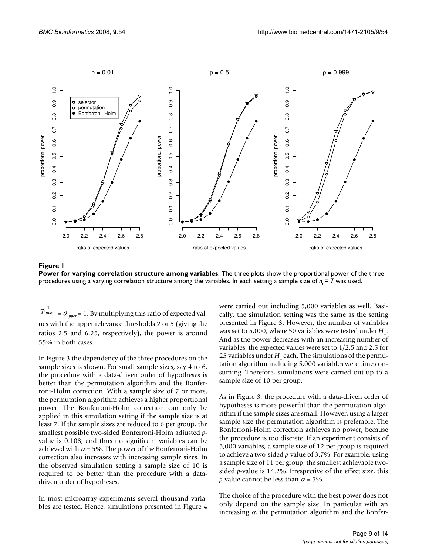

**Figure 1 Power for varying correlation structure among variables**. The three plots show the proportional power of the three procedures using a varying correlation structure among the variables. In each setting a sample size of *n<sub>i</sub>* = 7 was used.

 $=\theta_{\text{upper}}=1$ . By multiplying this ratio of expected values with the upper relevance thresholds 2 or 5 (giving the ratios 2.5 and 6.25, respectively), the power is around 55% in both cases. q*lower* −1

In Figure 3 the dependency of the three procedures on the sample sizes is shown. For small sample sizes, say 4 to 6, the procedure with a data-driven order of hypotheses is better than the permutation algorithm and the Bonferroni-Holm correction. With a sample size of 7 or more, the permutation algorithm achieves a higher proportional power. The Bonferroni-Holm correction can only be applied in this simulation setting if the sample size is at least 7. If the sample sizes are reduced to 6 per group, the smallest possible two-sided Bonferroni-Holm adjusted *p*value is 0.108, and thus no significant variables can be achieved with  $\alpha$  = 5%. The power of the Bonferroni-Holm correction also increases with increasing sample sizes. In the observed simulation setting a sample size of 10 is required to be better than the procedure with a datadriven order of hypotheses.

In most microarray experiments several thousand variables are tested. Hence, simulations presented in Figure 4 were carried out including 5,000 variables as well. Basically, the simulation setting was the same as the setting presented in Figure 3. However, the number of variables was set to 5,000, where 50 variables were tested under  $H_1$ . And as the power decreases with an increasing number of variables, the expected values were set to 1/2.5 and 2.5 for 25 variables under  $H_1$  each. The simulations of the permutation algorithm including 5,000 variables were time consuming. Therefore, simulations were carried out up to a sample size of 10 per group.

As in Figure 3, the procedure with a data-driven order of hypotheses is more powerful than the permutation algorithm if the sample sizes are small. However, using a larger sample size the permutation algorithm is preferable. The Bonferroni-Holm correction achieves no power, because the procedure is too discrete. If an experiment consists of 5,000 variables, a sample size of 12 per group is required to achieve a two-sided *p*-value of 3.7%. For example, using a sample size of 11 per group, the smallest achievable twosided *p*-value is 14.2%. Irrespective of the effect size, this *p*-value cannot be less than  $\alpha$  = 5%.

The choice of the procedure with the best power does not only depend on the sample size. In particular with an increasing  $\alpha$ , the permutation algorithm and the Bonfer-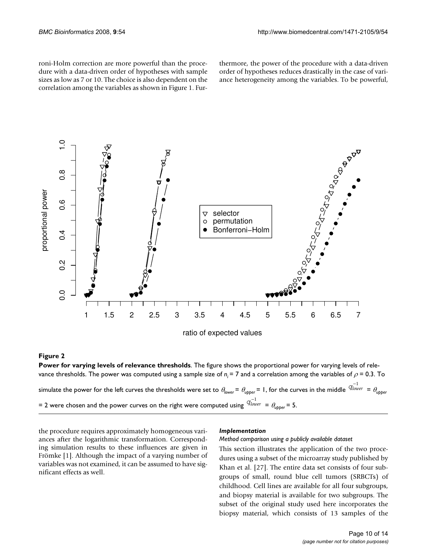roni-Holm correction are more powerful than the procedure with a data-driven order of hypotheses with sample sizes as low as 7 or 10. The choice is also dependent on the correlation among the variables as shown in Figure 1. Furthermore, the power of the procedure with a data-driven order of hypotheses reduces drastically in the case of variance heterogeneity among the variables. To be powerful,



ratio of expected values

#### Figure 2

**Power for varying levels of relevance thresholds**. The figure shows the proportional power for varying levels of relevance thresholds. The power was computed using a sample size of  $n_i = 7$  and a correlation among the variables of  $\rho = 0.3$ . To simulate the power for the left curves the thresholds were set to  $\theta_{\sf{lower}}$ =  $\theta_{\sf{upper}}$ = 1, for the curves in the middle  $\ ^{Q^{-1}_{\sf{lower}}}= \theta_{\sf{upper}}$ = 2 were chosen and the power curves on the right were computed using  $\stackrel{q^{-1}_{\lvert over} }{=} \theta_{\text{upper}}$  = 5.

the procedure requires approximately homogeneous variances after the logarithmic transformation. Corresponding simulation results to these influences are given in Frömke [1]. Although the impact of a varying number of variables was not examined, it can be assumed to have significant effects as well.

#### *Implementation*

*Method comparison using a publicly available dataset*

This section illustrates the application of the two procedures using a subset of the microarray study published by Khan et al. [27]. The entire data set consists of four subgroups of small, round blue cell tumors (SRBCTs) of childhood. Cell lines are available for all four subgroups, and biopsy material is available for two subgroups. The subset of the original study used here incorporates the biopsy material, which consists of 13 samples of the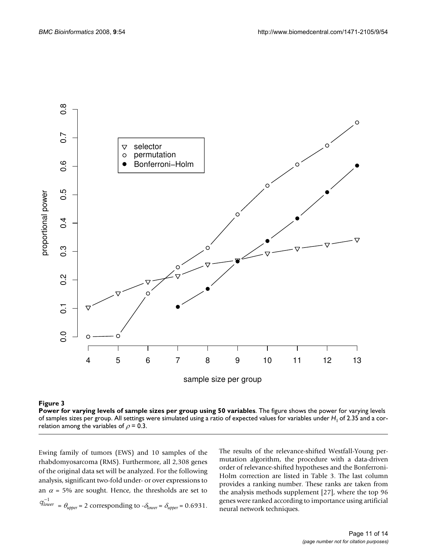

#### **Figure 3**

**Power for varying levels of sample sizes per group using 50 variables**. The figure shows the power for varying levels of samples sizes per group. All settings were simulated using a ratio of expected values for variables under *H*<sub>1</sub> of 2.35 and a correlation among the variables of  $\rho = 0.3$ .

Ewing family of tumors (EWS) and 10 samples of the rhabdomyosarcoma (RMS). Furthermore, all 2,308 genes of the original data set will be analyzed. For the following analysis, significant two-fold under- or over expressions to an  $\alpha$  = 5% are sought. Hence, the thresholds are set to  $q_{lower}^{-1} = \theta_{upper} = 2$  corresponding to  $-\delta_{lower} = \delta_{upper} = 0.6931$ .

The results of the relevance-shifted Westfall-Young permutation algorithm, the procedure with a data-driven order of relevance-shifted hypotheses and the Bonferroni-Holm correction are listed in Table 3. The last column provides a ranking number. These ranks are taken from the analysis methods supplement [27], where the top 96 genes were ranked according to importance using artificial neural network techniques.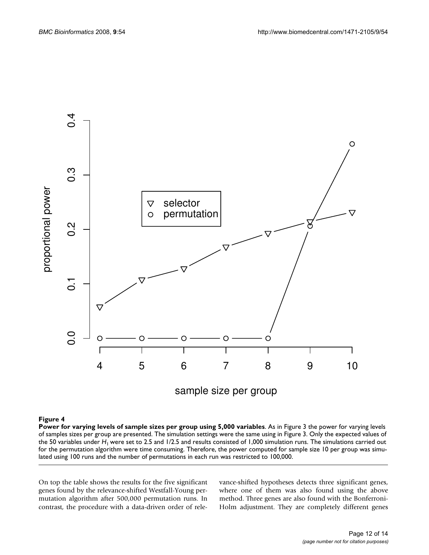

#### **Figure 4**

**Power for varying levels of sample sizes per group using 5,000 variables**. As in Figure 3 the power for varying levels of samples sizes per group are presented. The simulation settings were the same using in Figure 3. Only the expected values of the 50 variables under H<sub>1</sub> were set to 2.5 and 1/2.5 and results consisted of 1,000 simulation runs. The simulations carried out for the permutation algorithm were time consuming. Therefore, the power computed for sample size 10 per group was simulated using 100 runs and the number of permutations in each run was restricted to 100,000.

On top the table shows the results for the five significant genes found by the relevance-shifted Westfall-Young permutation algorithm after 500,000 permutation runs. In contrast, the procedure with a data-driven order of relevance-shifted hypotheses detects three significant genes, where one of them was also found using the above method. Three genes are also found with the Bonferroni-Holm adjustment. They are completely different genes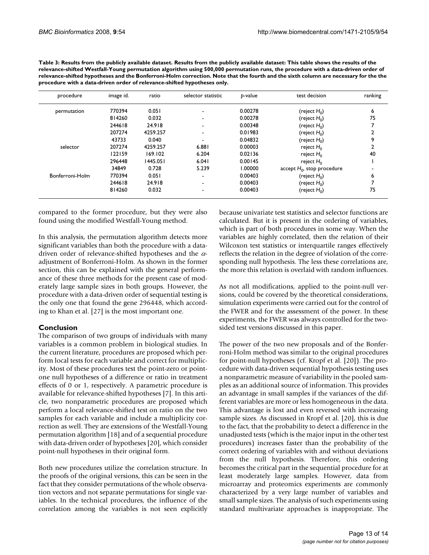| procedure       | image id. | ratio    | selector statistic       | p-value | test decision                 | ranking |
|-----------------|-----------|----------|--------------------------|---------|-------------------------------|---------|
| permutation     | 770394    | 0.051    |                          | 0.00278 | (reject $H_0$ )               | 6       |
|                 | 814260    | 0.032    | ۰                        | 0.00278 | (reject $H_0$ )               | 75      |
|                 | 244618    | 24.918   | $\overline{\phantom{a}}$ | 0.00348 | (reject $H_0$ )               |         |
|                 | 207274    | 4259.257 | ۰                        | 0.01983 | (reject $H_0$ )               |         |
|                 | 43733     | 0.040    |                          | 0.04832 | (reject $H_0$ )               | ٥       |
| selector        | 207274    | 4259.257 | 6.881                    | 0.00003 | reject $H_0$                  |         |
|                 | 122159    | 169.102  | 6.204                    | 0.02136 | reject $H_0$                  | 40      |
|                 | 296448    | 1445.051 | 6.041                    | 0.00145 | reject $H_0$                  |         |
|                 | 34849     | 0.728    | 5.239                    | 1.00000 | accept $H_0$ , stop procedure |         |
| Bonferroni-Holm | 770394    | 0.051    | $\overline{\phantom{0}}$ | 0.00403 | (reject $H_0$ )               | 6       |
|                 | 244618    | 24.918   | ۰                        | 0.00403 | (reject $H_0$ )               |         |
|                 | 814260    | 0.032    | $\overline{\phantom{a}}$ | 0.00403 | (reject $H_0$ )               | 75      |

**Table 3: Results from the publicly available dataset. Results from the publicly available dataset: This table shows the results of the relevance-shifted Westfall-Young permutation algorithm using 500,000 permutation runs, the procedure with a data-driven order of relevance-shifted hypotheses and the Bonferroni-Holm correction. Note that the fourth and the sixth column are necessary for the the procedure with a data-driven order of relevance-shifted hypotheses only.**

compared to the former procedure, but they were also found using the modified Westfall-Young method.

In this analysis, the permutation algorithm detects more significant variables than both the procedure with a datadriven order of relevance-shifted hypotheses and the αadjustment of Bonferroni-Holm. As shown in the former section, this can be explained with the general performance of these three methods for the present case of moderately large sample sizes in both groups. However, the procedure with a data-driven order of sequential testing is the only one that found the gene 296448, which according to Khan et al. [27] is the most important one.

### **Conclusion**

The comparison of two groups of individuals with many variables is a common problem in biological studies. In the current literature, procedures are proposed which perform local tests for each variable and correct for multiplicity. Most of these procedures test the point-zero or pointone null hypotheses of a difference or ratio in treatment effects of 0 or 1, respectively. A parametric procedure is available for relevance-shifted hypotheses [7]. In this article, two nonparametric procedures are proposed which perform a local relevance-shifted test on ratio on the two samples for each variable and include a multiplicity correction as well. They are extensions of the Westfall-Young permutation algorithm [18] and of a sequential procedure with data-driven order of hypotheses [20], which consider point-null hypotheses in their original form.

Both new procedures utilize the correlation structure. In the proofs of the original versions, this can be seen in the fact that they consider permutations of the whole observation vectors and not separate permutations for single variables. In the technical procedures, the influence of the correlation among the variables is not seen explicitly because univariate test statistics and selector functions are calculated. But it is present in the ordering of variables, which is part of both procedures in some way. When the variables are highly correlated, then the relation of their Wilcoxon test statistics or interquartile ranges effectively reflects the relation in the degree of violation of the corresponding null hypothesis. The less these correlations are, the more this relation is overlaid with random influences.

As not all modifications, applied to the point-null versions, could be covered by the theoretical considerations, simulation experiments were carried out for the control of the FWER and for the assessment of the power. In these experiments, the FWER was always controlled for the twosided test versions discussed in this paper.

The power of the two new proposals and of the Bonferroni-Holm method was similar to the original procedures for point-null hypotheses (cf. Kropf et al. [20]). The procedure with data-driven sequential hypothesis testing uses a nonparametric measure of variability in the pooled samples as an additional source of information. This provides an advantage in small samples if the variances of the different variables are more or less homogeneous in the data. This advantage is lost and even reversed with increasing sample sizes. As discussed in Kropf et al. [20], this is due to the fact, that the probability to detect a difference in the unadjusted tests (which is the major input in the other test procedures) increases faster than the probability of the correct ordering of variables with and without deviations from the null hypothesis. Therefore, this ordering becomes the critical part in the sequential procedure for at least moderately large samples. However, data from microarray and proteomics experiments are commonly characterized by a very large number of variables and small sample sizes. The analysis of such experiments using standard multivariate approaches is inappropriate. The